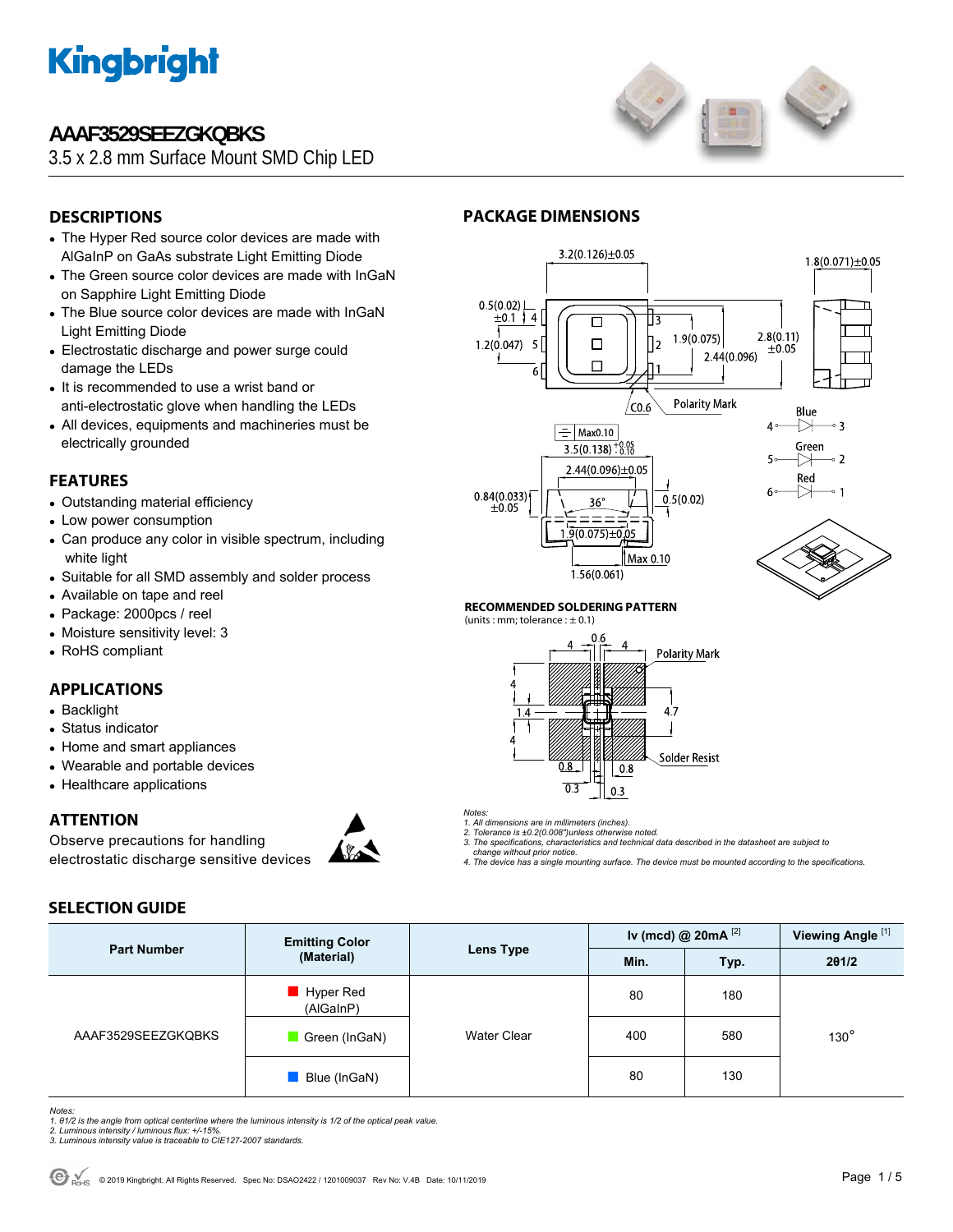

### **AAAF3529SEEZGKQBKS**

3.5 x 2.8 mm Surface Mount SMD Chip LED



### **DESCRIPTIONS**

- The Hyper Red source color devices are made with AlGaInP on GaAs substrate Light Emitting Diode
- The Green source color devices are made with InGaN on Sapphire Light Emitting Diode
- The Blue source color devices are made with InGaN Light Emitting Diode
- Electrostatic discharge and power surge could damage the LEDs
- It is recommended to use a wrist band or anti-electrostatic glove when handling the LEDs
- All devices, equipments and machineries must be electrically grounded

#### **FEATURES**

- Outstanding material efficiency
- Low power consumption
- Can produce any color in visible spectrum, including white light
- Suitable for all SMD assembly and solder process
- Available on tape and reel
- Package: 2000pcs / reel
- Moisture sensitivity level: 3
- RoHS compliant

#### **APPLICATIONS**

- Backlight
- Status indicator
- Home and smart appliances
- Wearable and portable devices
- Healthcare applications

**SELECTION GUIDE** 

#### **ATTENTION**

Observe precautions for handling electrostatic discharge sensitive devices



### **PACKAGE DIMENSIONS**



#### **RECOMMENDED SOLDERING PATTERN**

(units : mm; tolerance :  $\pm$  0.1)



*Notes:* 

*1. All dimensions are in millimeters (inches). 2. Tolerance is ±0.2(0.008")unless otherwise noted.* 

- *3. The specifications, characteristics and technical data described in the datasheet are subject to change without prior notice.*
- *4. The device has a single mounting surface. The device must be mounted according to the specifications.*

| <b>Part Number</b> | <b>Emitting Color</b><br>(Material) | <b>Lens Type</b>   | Iv (mcd) @ $20mA$ <sup>[2]</sup> |      | Viewing Angle <sup>[1]</sup> |  |
|--------------------|-------------------------------------|--------------------|----------------------------------|------|------------------------------|--|
|                    |                                     |                    | Min.                             | Typ. | 201/2                        |  |
| AAAF3529SEEZGKQBKS | Hyper Red<br>(AlGaInP)              |                    | 80                               | 180  |                              |  |
|                    | Green (InGaN)                       | <b>Water Clear</b> | 400                              | 580  | $130^\circ$                  |  |
|                    | Blue (InGaN)                        |                    | 80                               | 130  |                              |  |

*Notes:* 

*1. θ1/2 is the angle from optical centerline where the luminous intensity is 1/2 of the optical peak value. 2. Luminous intensity / luminous flux: +/-15%.* 

- *3. Luminous intensity value is traceable to CIE127-2007 standards.*
-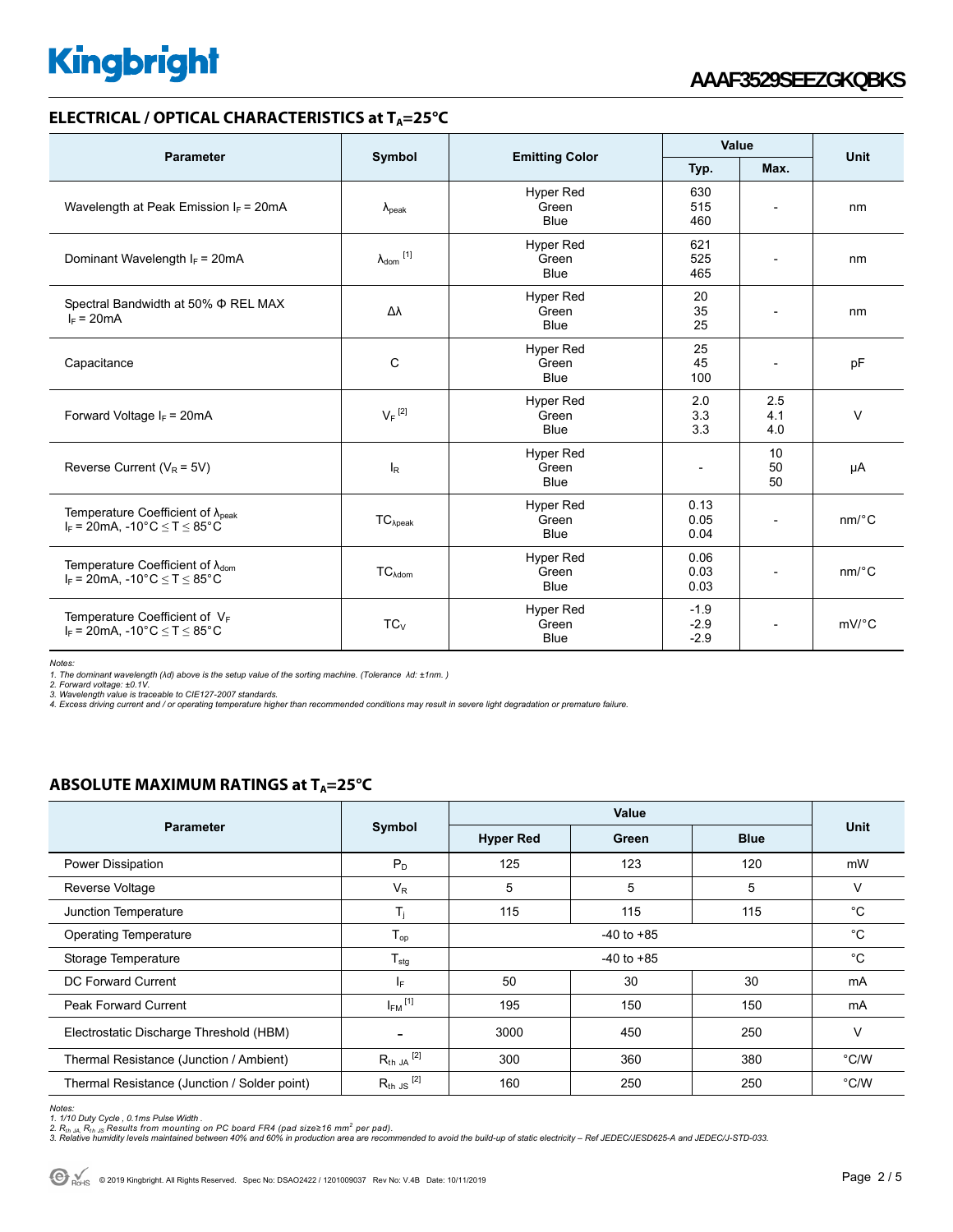#### **ELECTRICAL / OPTICAL CHARACTERISTICS at T<sub>A</sub>=25°C**

|                                                                                             |                            |                                          | Value                      |                          |                       |  |
|---------------------------------------------------------------------------------------------|----------------------------|------------------------------------------|----------------------------|--------------------------|-----------------------|--|
| <b>Parameter</b>                                                                            | Symbol                     | <b>Emitting Color</b>                    | Typ.                       | Max.                     | Unit                  |  |
| Wavelength at Peak Emission $I_F$ = 20mA                                                    | $\lambda_{\rm peak}$       | <b>Hyper Red</b><br>Green<br><b>Blue</b> | 630<br>515<br>460          |                          | nm                    |  |
| Dominant Wavelength $I_F = 20 \text{mA}$                                                    | $\lambda_{\text{dom}}$ [1] | <b>Hyper Red</b><br>Green<br><b>Blue</b> | 621<br>525<br>465          |                          | nm                    |  |
| Spectral Bandwidth at 50% $\Phi$ REL MAX<br>$I_F = 20mA$                                    | Δλ                         | Hyper Red<br>Green<br><b>Blue</b>        | 20<br>35<br>25             | $\overline{a}$           | nm                    |  |
| Capacitance                                                                                 | C                          | <b>Hyper Red</b><br>Green<br><b>Blue</b> | 25<br>45<br>100            | $\overline{\phantom{a}}$ | pF                    |  |
| Forward Voltage $I_F$ = 20mA                                                                | $V_F$ <sup>[2]</sup>       | <b>Hyper Red</b><br>Green<br><b>Blue</b> | 2.0<br>3.3<br>3.3          | 2.5<br>4.1<br>4.0        | $\vee$                |  |
| Reverse Current ( $V_R$ = 5V)                                                               | $I_R$                      | <b>Hyper Red</b><br>Green<br><b>Blue</b> | $\overline{a}$             | 10<br>50<br>50           | μA                    |  |
| Temperature Coefficient of $\lambda_{peak}$<br>$I_F$ = 20mA, -10°C $\leq T \leq 85$ °C      | $TC_{\lambda peak}$        | Hyper Red<br>Green<br><b>Blue</b>        | 0.13<br>0.05<br>0.04       |                          | $nm$ / $^{\circ}$ C   |  |
| Temperature Coefficient of $\lambda_{\text{dom}}$<br>$I_F = 20mA$ , -10°C $\le T \le 85$ °C | $TC_{\lambda dom}$         | <b>Hyper Red</b><br>Green<br><b>Blue</b> | 0.06<br>0.03<br>0.03       | $\overline{\phantom{a}}$ | $nm$ <sup>o</sup> $C$ |  |
| Temperature Coefficient of $V_F$<br>$I_F$ = 20mA, -10°C $\le T \le 85$ °C                   | $TC_{V}$                   | <b>Hyper Red</b><br>Green<br><b>Blue</b> | $-1.9$<br>$-2.9$<br>$-2.9$ |                          | $mV$ <sup>°</sup> C   |  |

*Notes:* 

*1. The dominant wavelength (λd) above is the setup value of the sorting machine. (Tolerance λd: ±1nm. )* 

*2. Forward voltage: ±0.1V. 3. Wavelength value is traceable to CIE127-2007 standards.* 

*4. Excess driving current and / or operating temperature higher than recommended conditions may result in severe light degradation or premature failure.* 

#### **ABSOLUTE MAXIMUM RATINGS at T<sub>A</sub>=25°C**

|                                              | Symbol                  | Value            |             |             |               |
|----------------------------------------------|-------------------------|------------------|-------------|-------------|---------------|
| <b>Parameter</b>                             |                         | <b>Hyper Red</b> | Green       | <b>Blue</b> | Unit          |
| Power Dissipation                            | $P_D$                   | 125              | 123         | 120         | mW            |
| Reverse Voltage                              | $V_{R}$                 | 5                | 5           | 5           | $\vee$        |
| Junction Temperature                         | T <sub>i</sub>          | 115              | 115         | 115         | °C            |
| <b>Operating Temperature</b>                 | $T_{op}$                |                  | $^{\circ}C$ |             |               |
| Storage Temperature                          | $T_{\text{stg}}$        | $-40$ to $+85$   |             |             | $^{\circ}C$   |
| DC Forward Current                           | lE.                     | 50               | 30          | 30          | mA            |
| <b>Peak Forward Current</b>                  | $I_{FM}$ <sup>[1]</sup> | 195              | 150         | 150         | mA            |
| Electrostatic Discharge Threshold (HBM)      |                         | 3000             | 450         | 250         | V             |
| Thermal Resistance (Junction / Ambient)      | $R_{th}$ JA $^{[2]}$    | 300              | 360         | 380         | $\degree$ C/W |
| Thermal Resistance (Junction / Solder point) | $R_{th}$ JS $^{[2]}$    | 160              | 250         | 250         | $\degree$ C/W |

*Notes:* 

<sup>1. 1/10</sup> Duty Cycle , 0.1ms Pulse Width .<br>2. R<sub>th JA</sub>, R<sub>th JS</sub> Results from mounting on PC board FR4 (pad size≥16 mm<sup>2</sup> per pad).<br>3. Relative humidity levels maintained between 40% and 60% in production area are recommend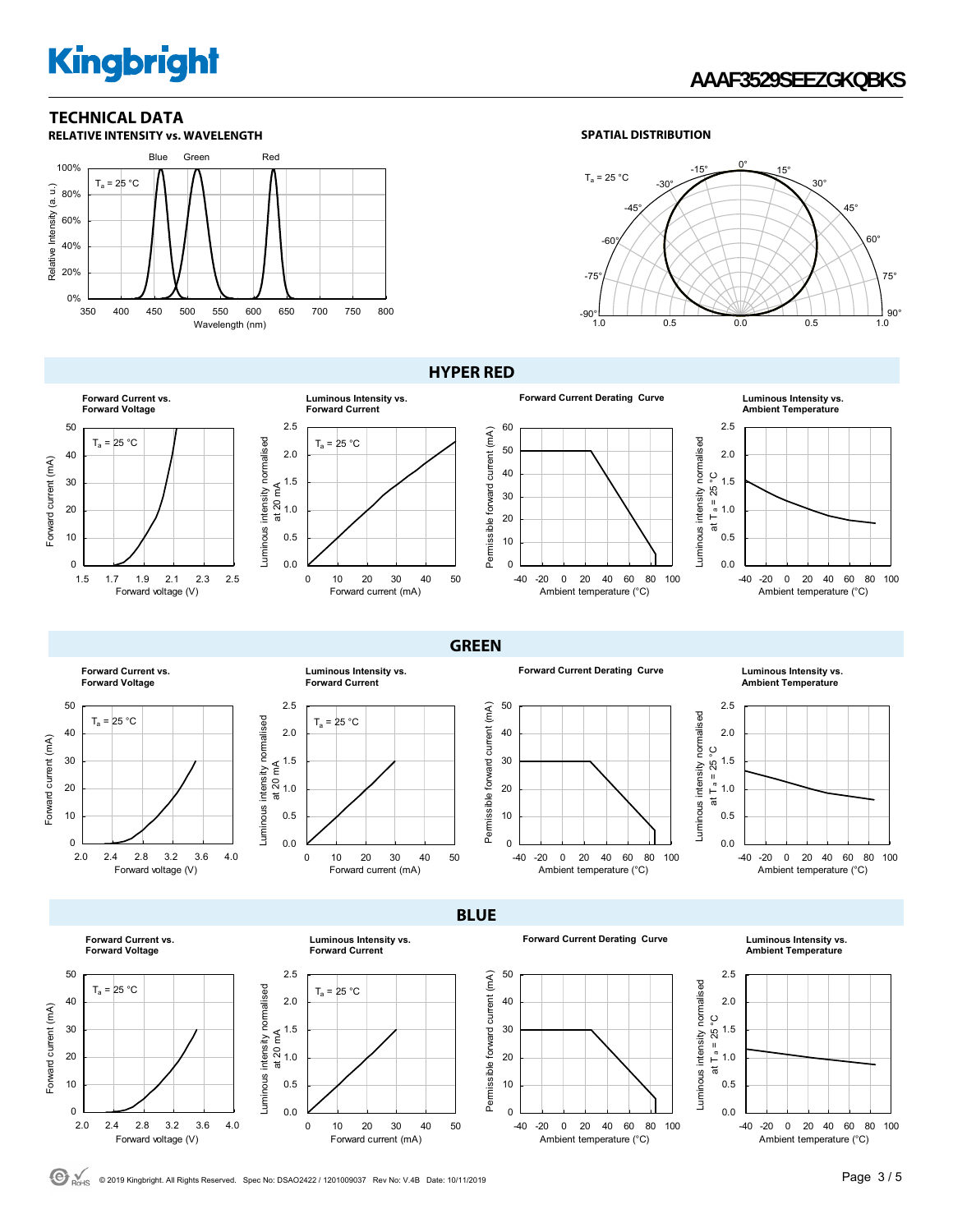## **AAAF3529SEEZGKQBKS**

### **TECHNICAL DATA**



#### **SPATIAL DISTRIBUTION**



**Forward Current vs. Forward Voltage** 50  $T_a = 25 °C$ 40 Forward current (mA) Forward current (mA) 30 20 10  $\Omega$ 1.5 1.7 1.9 2.1 2.3 2.5 Forward voltage (V)

#### **HYPER RED**

**GREEN** 









**Forward Current vs. Forward Voltage** 50  $T_a = 25 °C$ 40 Forward current (mA) Forward current (mA) 30 20 10 0 2.0 2.4 2.8 3.2 3.6 4.0 Forward voltage (V)

> **Forward Current vs. Forward Voltage**



**Luminous Intensity vs.** 







**BLUE** 

**Forward Current Derating Curve Luminous Intensity vs.** 



**Luminous Intensity vs. Forward Current**

0 10 20 30 40 50

Forward current (mA)





**Ambient Temperature**



C ROHS © 2019 Kingbright. All Rights Reserved. Spec No: DSAO2422 / 1201009037 Rev No: V.4B Date: 10/11/2019 **Page 3 / 5 Page 3 / 5** 

0.0 0.5 1.0

Luminous intensity normalised

Luminous intensity normalised

Luminous intensity normalised

Luminous intensity normalised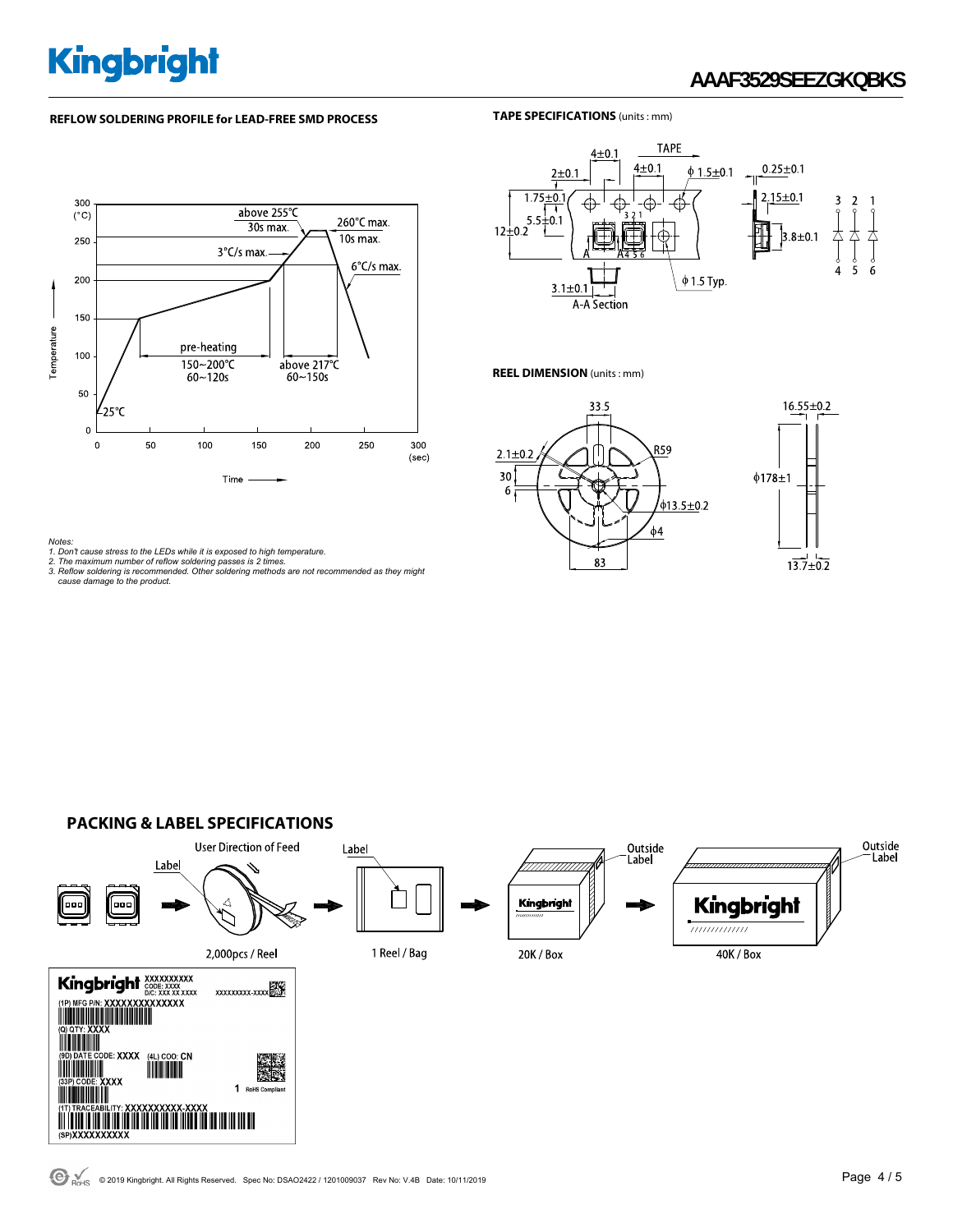## **AAAF3529SEEZGKQBKS**

#### **REFLOW SOLDERING PROFILE for LEAD-FREE SMD PROCESS**

#### **TAPE SPECIFICATIONS** (units : mm)





#### **REEL DIMENSION** (units : mm)





Notes:<br>1. Don't cause stress to the LEDs while it is exposed to high temperature.<br>2. The maximum number of reflow soldering passes is 2 times.<br>3. Reflow soldering is recommended. Other soldering methods are not recommended

#### **PACKING & LABEL SPECIFICATIONS**